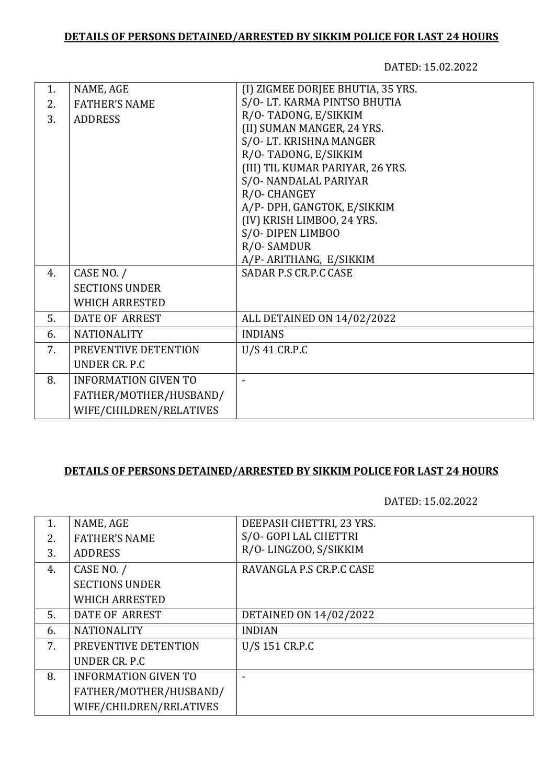## **DETAILS OF PERSONS DETAINED/ARRESTED BY SIKKIM POLICE FOR LAST 24 HOURS**

DATED: 15.02.2022

| 1. | NAME, AGE                   | (I) ZIGMEE DORJEE BHUTIA, 35 YRS. |
|----|-----------------------------|-----------------------------------|
| 2. | <b>FATHER'S NAME</b>        | S/O-LT. KARMA PINTSO BHUTIA       |
| 3. | <b>ADDRESS</b>              | R/O-TADONG, E/SIKKIM              |
|    |                             | (II) SUMAN MANGER, 24 YRS.        |
|    |                             | S/O-LT. KRISHNA MANGER            |
|    |                             | R/O-TADONG, E/SIKKIM              |
|    |                             | (III) TIL KUMAR PARIYAR, 26 YRS.  |
|    |                             | S/O-NANDALAL PARIYAR              |
|    |                             | R/O-CHANGEY                       |
|    |                             | A/P- DPH, GANGTOK, E/SIKKIM       |
|    |                             | (IV) KRISH LIMBOO, 24 YRS.        |
|    |                             | S/O-DIPEN LIMBOO                  |
|    |                             | R/O-SAMDUR                        |
|    |                             | A/P-ARITHANG, E/SIKKIM            |
| 4. | CASE NO. /                  | SADAR P.S CR.P.C CASE             |
|    | <b>SECTIONS UNDER</b>       |                                   |
|    | <b>WHICH ARRESTED</b>       |                                   |
| 5. | <b>DATE OF ARREST</b>       | ALL DETAINED ON 14/02/2022        |
| 6. | <b>NATIONALITY</b>          | <b>INDIANS</b>                    |
| 7. | PREVENTIVE DETENTION        | U/S 41 CR.P.C                     |
|    | <b>UNDER CR. P.C</b>        |                                   |
| 8. | <b>INFORMATION GIVEN TO</b> |                                   |
|    | FATHER/MOTHER/HUSBAND/      |                                   |
|    | WIFE/CHILDREN/RELATIVES     |                                   |
|    |                             |                                   |

## **DETAILS OF PERSONS DETAINED/ARRESTED BY SIKKIM POLICE FOR LAST 24 HOURS**

DATED: 15.02.2022

| 1. | NAME, AGE                   | DEEPASH CHETTRI, 23 YRS. |
|----|-----------------------------|--------------------------|
| 2. | <b>FATHER'S NAME</b>        | S/O- GOPI LAL CHETTRI    |
| 3. | <b>ADDRESS</b>              | R/O-LINGZOO, S/SIKKIM    |
| 4. | CASE NO. /                  | RAVANGLA P.S CR.P.C CASE |
|    | <b>SECTIONS UNDER</b>       |                          |
|    | <b>WHICH ARRESTED</b>       |                          |
| 5. | <b>DATE OF ARREST</b>       | DETAINED ON 14/02/2022   |
| 6. | <b>NATIONALITY</b>          | <b>INDIAN</b>            |
| 7. | PREVENTIVE DETENTION        | U/S 151 CR.P.C           |
|    | UNDER CR. P.C.              |                          |
| 8. | <b>INFORMATION GIVEN TO</b> |                          |
|    | FATHER/MOTHER/HUSBAND/      |                          |
|    | WIFE/CHILDREN/RELATIVES     |                          |